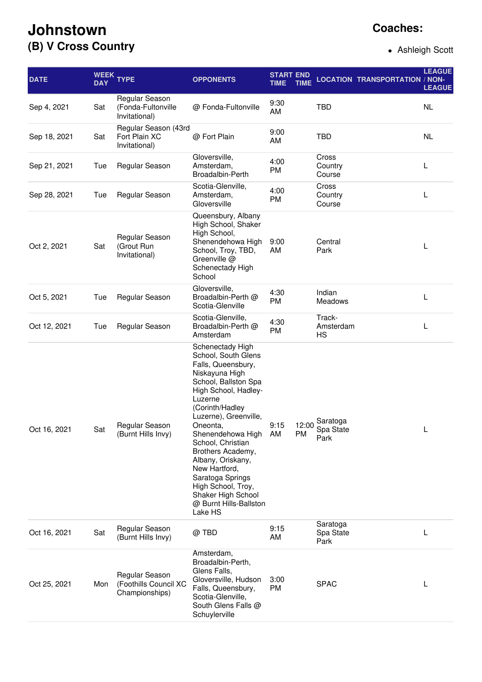## **Johnstown (B) V Cross Country**

## **Coaches:**

Ashleigh Scott

| <b>DATE</b>  | <b>DAY</b> | WEEK TYPE                                                 | <b>OPPONENTS</b>                                                                                                                                                                                                                                                                                                                                                                                             | <b>START END</b><br><b>TIME</b> | <b>TIME</b>        |                               | <b>LOCATION TRANSPORTATION / NON-</b> | <b>LEAGUE</b><br><b>LEAGUE</b> |
|--------------|------------|-----------------------------------------------------------|--------------------------------------------------------------------------------------------------------------------------------------------------------------------------------------------------------------------------------------------------------------------------------------------------------------------------------------------------------------------------------------------------------------|---------------------------------|--------------------|-------------------------------|---------------------------------------|--------------------------------|
| Sep 4, 2021  | Sat        | Regular Season<br>(Fonda-Fultonville<br>Invitational)     | @ Fonda-Fultonville                                                                                                                                                                                                                                                                                                                                                                                          | 9:30<br>AM                      |                    | <b>TBD</b>                    |                                       | <b>NL</b>                      |
| Sep 18, 2021 | Sat        | Regular Season (43rd<br>Fort Plain XC<br>Invitational)    | @ Fort Plain                                                                                                                                                                                                                                                                                                                                                                                                 | 9:00<br>AM                      |                    | <b>TBD</b>                    |                                       | <b>NL</b>                      |
| Sep 21, 2021 | Tue        | Regular Season                                            | Gloversville,<br>Amsterdam,<br>Broadalbin-Perth                                                                                                                                                                                                                                                                                                                                                              | 4:00<br>PM                      |                    | Cross<br>Country<br>Course    |                                       | L                              |
| Sep 28, 2021 | Tue        | Regular Season                                            | Scotia-Glenville,<br>Amsterdam,<br>Gloversville                                                                                                                                                                                                                                                                                                                                                              | 4:00<br><b>PM</b>               |                    | Cross<br>Country<br>Course    |                                       | L                              |
| Oct 2, 2021  | Sat        | Regular Season<br>(Grout Run<br>Invitational)             | Queensbury, Albany<br>High School, Shaker<br>High School,<br>Shenendehowa High<br>School, Troy, TBD,<br>Greenville @<br>Schenectady High<br>School                                                                                                                                                                                                                                                           | 9:00<br>AM                      |                    | Central<br>Park               |                                       | L                              |
| Oct 5, 2021  | Tue        | Regular Season                                            | Gloversville,<br>Broadalbin-Perth @<br>Scotia-Glenville                                                                                                                                                                                                                                                                                                                                                      | 4:30<br><b>PM</b>               |                    | Indian<br>Meadows             |                                       | L                              |
| Oct 12, 2021 | Tue        | Regular Season                                            | Scotia-Glenville,<br>Broadalbin-Perth @<br>Amsterdam                                                                                                                                                                                                                                                                                                                                                         | 4:30<br>PM                      |                    | Track-<br>Amsterdam<br>HS     |                                       | L                              |
| Oct 16, 2021 | Sat        | <b>Regular Season</b><br>(Burnt Hills Invy)               | Schenectady High<br>School, South Glens<br>Falls, Queensbury,<br>Niskayuna High<br>School, Ballston Spa<br>High School, Hadley-<br>Luzerne<br>(Corinth/Hadley<br>Luzerne), Greenville,<br>Oneonta,<br>Shenendehowa High<br>School, Christian<br>Brothers Academy,<br>Albany, Oriskany,<br>New Hartford,<br>Saratoga Springs<br>High School, Troy,<br>Shaker High School<br>@ Burnt Hills-Ballston<br>Lake HS | 9:15<br>AM                      | 12:00<br><b>PM</b> | Saratoga<br>Spa State<br>Park |                                       | L                              |
| Oct 16, 2021 | Sat        | Regular Season<br>(Burnt Hills Invy)                      | @ TBD                                                                                                                                                                                                                                                                                                                                                                                                        | 9:15<br>AM                      |                    | Saratoga<br>Spa State<br>Park |                                       | L                              |
| Oct 25, 2021 | Mon        | Regular Season<br>(Foothills Council XC<br>Championships) | Amsterdam,<br>Broadalbin-Perth,<br>Glens Falls,<br>Gloversville, Hudson<br>Falls, Queensbury,<br>Scotia-Glenville,<br>South Glens Falls @<br>Schuylerville                                                                                                                                                                                                                                                   | 3:00<br>PM                      |                    | <b>SPAC</b>                   |                                       | L                              |